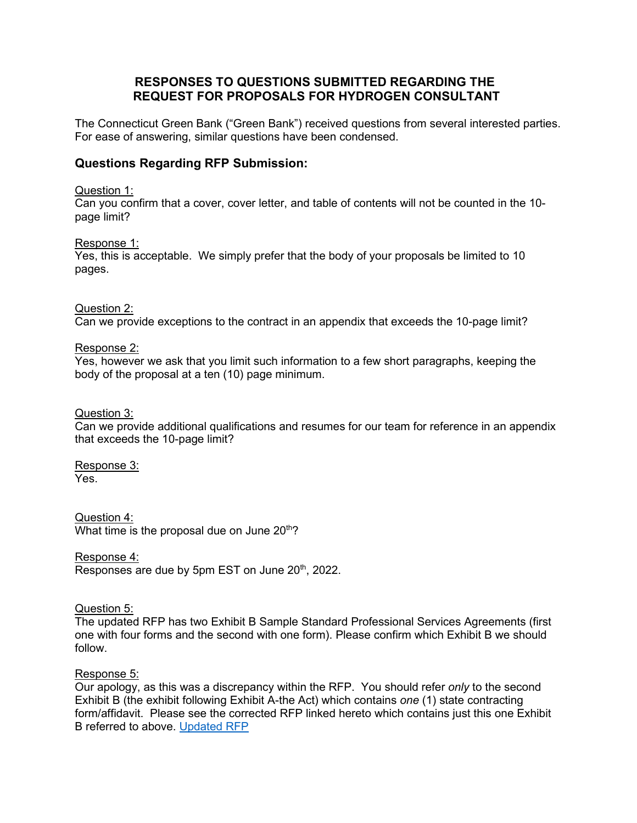# **RESPONSES TO QUESTIONS SUBMITTED REGARDING THE REQUEST FOR PROPOSALS FOR HYDROGEN CONSULTANT**

The Connecticut Green Bank ("Green Bank") received questions from several interested parties. For ease of answering, similar questions have been condensed.

# **Questions Regarding RFP Submission:**

# Question 1:

Can you confirm that a cover, cover letter, and table of contents will not be counted in the 10 page limit?

## Response 1:

Yes, this is acceptable. We simply prefer that the body of your proposals be limited to 10 pages.

# Question 2:

Can we provide exceptions to the contract in an appendix that exceeds the 10-page limit?

# Response 2:

Yes, however we ask that you limit such information to a few short paragraphs, keeping the body of the proposal at a ten (10) page minimum.

# Question 3:

Can we provide additional qualifications and resumes for our team for reference in an appendix that exceeds the 10-page limit?

# Response 3:

Yes.

Question 4: What time is the proposal due on June  $20<sup>th</sup>$ ?

## Response 4: Responses are due by 5pm EST on June 20<sup>th</sup>, 2022.

# Question 5:

The updated RFP has two Exhibit B Sample Standard Professional Services Agreements (first one with four forms and the second with one form). Please confirm which Exhibit B we should follow.

# Response 5:

Our apology, as this was a discrepancy within the RFP. You should refer *only* to the second Exhibit B (the exhibit following Exhibit A-the Act) which contains *one* (1) state contracting form/affidavit. Please see the corrected RFP linked hereto which contains just this one Exhibit B referred to above. [Updated RFP](https://www.ctgreenbank.com/wp-content/uploads/2022/06/REQUEST-FOR-PROPOSALS-FOR-HYDROGEN-TASK-FORCE-STUDY-CONSULTANT_UPDATED-6.14.pdf)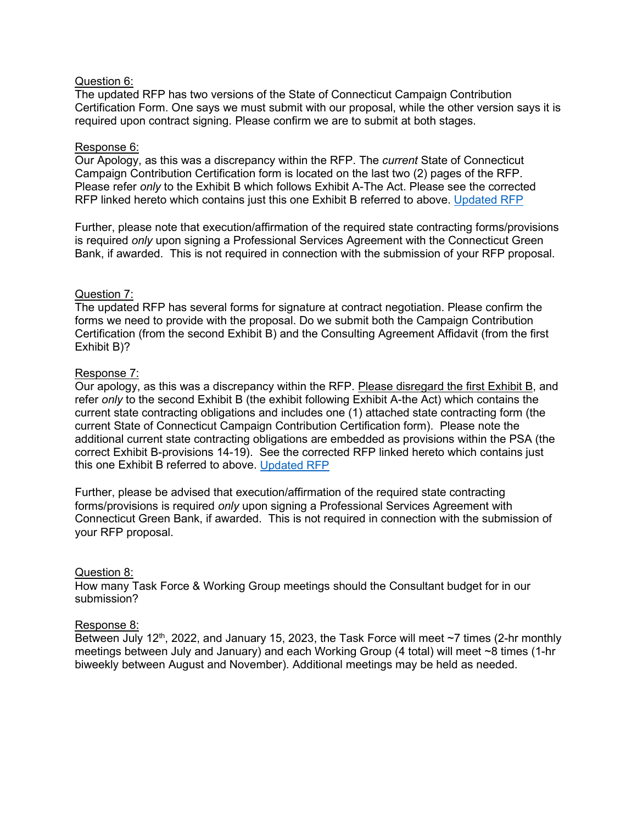# Question 6:

The updated RFP has two versions of the State of Connecticut Campaign Contribution Certification Form. One says we must submit with our proposal, while the other version says it is required upon contract signing. Please confirm we are to submit at both stages.

# Response 6:

Our Apology, as this was a discrepancy within the RFP. The *current* State of Connecticut Campaign Contribution Certification form is located on the last two (2) pages of the RFP. Please refer *only* to the Exhibit B which follows Exhibit A-The Act. Please see the corrected RFP linked hereto which contains just this one Exhibit B referred to above. [Updated RFP](https://www.ctgreenbank.com/wp-content/uploads/2022/06/REQUEST-FOR-PROPOSALS-FOR-HYDROGEN-TASK-FORCE-STUDY-CONSULTANT_UPDATED-6.14.pdf)

Further, please note that execution/affirmation of the required state contracting forms/provisions is required *only* upon signing a Professional Services Agreement with the Connecticut Green Bank, if awarded. This is not required in connection with the submission of your RFP proposal.

# Question 7:

The updated RFP has several forms for signature at contract negotiation. Please confirm the forms we need to provide with the proposal. Do we submit both the Campaign Contribution Certification (from the second Exhibit B) and the Consulting Agreement Affidavit (from the first Exhibit B)?

# Response 7:

Our apology, as this was a discrepancy within the RFP. Please disregard the first Exhibit B, and refer *only* to the second Exhibit B (the exhibit following Exhibit A-the Act) which contains the current state contracting obligations and includes one (1) attached state contracting form (the current State of Connecticut Campaign Contribution Certification form). Please note the additional current state contracting obligations are embedded as provisions within the PSA (the correct Exhibit B-provisions 14-19). See the corrected RFP linked hereto which contains just this one Exhibit B referred to above. [Updated RFP](https://www.ctgreenbank.com/wp-content/uploads/2022/06/REQUEST-FOR-PROPOSALS-FOR-HYDROGEN-TASK-FORCE-STUDY-CONSULTANT_UPDATED-6.14.pdf)

Further, please be advised that execution/affirmation of the required state contracting forms/provisions is required *only* upon signing a Professional Services Agreement with Connecticut Green Bank, if awarded. This is not required in connection with the submission of your RFP proposal.

## Question 8:

How many Task Force & Working Group meetings should the Consultant budget for in our submission?

## Response 8:

Between July 12<sup>th</sup>, 2022, and January 15, 2023, the Task Force will meet  $\sim$ 7 times (2-hr monthly meetings between July and January) and each Working Group (4 total) will meet ~8 times (1-hr biweekly between August and November). Additional meetings may be held as needed.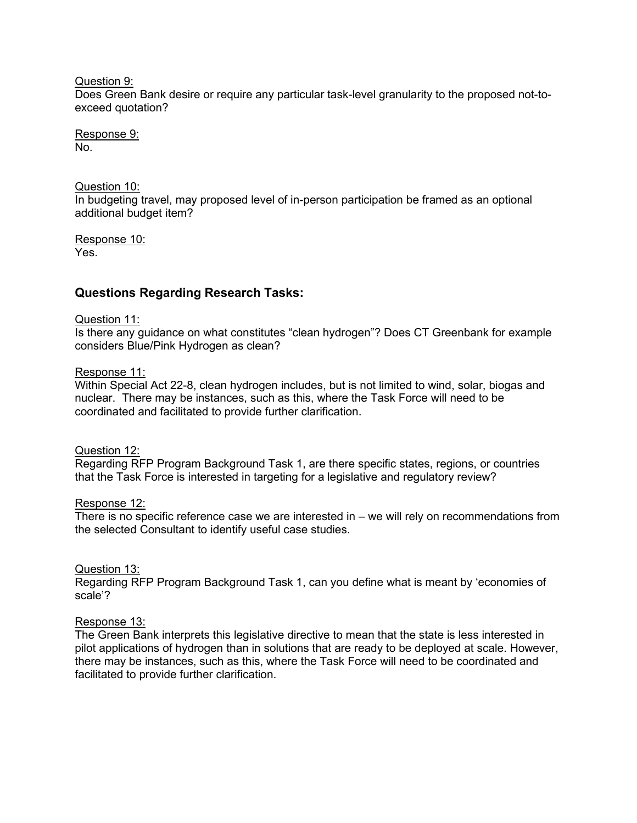Question 9:

Does Green Bank desire or require any particular task-level granularity to the proposed not-toexceed quotation?

Response 9: No.

Question 10: In budgeting travel, may proposed level of in-person participation be framed as an optional additional budget item?

Response 10: Yes.

# **Questions Regarding Research Tasks:**

## Question 11:

Is there any guidance on what constitutes "clean hydrogen"? Does CT Greenbank for example considers Blue/Pink Hydrogen as clean?

# Response 11:

Within Special Act 22-8, clean hydrogen includes, but is not limited to wind, solar, biogas and nuclear. There may be instances, such as this, where the Task Force will need to be coordinated and facilitated to provide further clarification.

## Question 12:

Regarding RFP Program Background Task 1, are there specific states, regions, or countries that the Task Force is interested in targeting for a legislative and regulatory review?

## Response 12:

There is no specific reference case we are interested in  $-$  we will rely on recommendations from the selected Consultant to identify useful case studies.

# Question 13:

Regarding RFP Program Background Task 1, can you define what is meant by 'economies of scale'?

## Response 13:

The Green Bank interprets this legislative directive to mean that the state is less interested in pilot applications of hydrogen than in solutions that are ready to be deployed at scale. However, there may be instances, such as this, where the Task Force will need to be coordinated and facilitated to provide further clarification.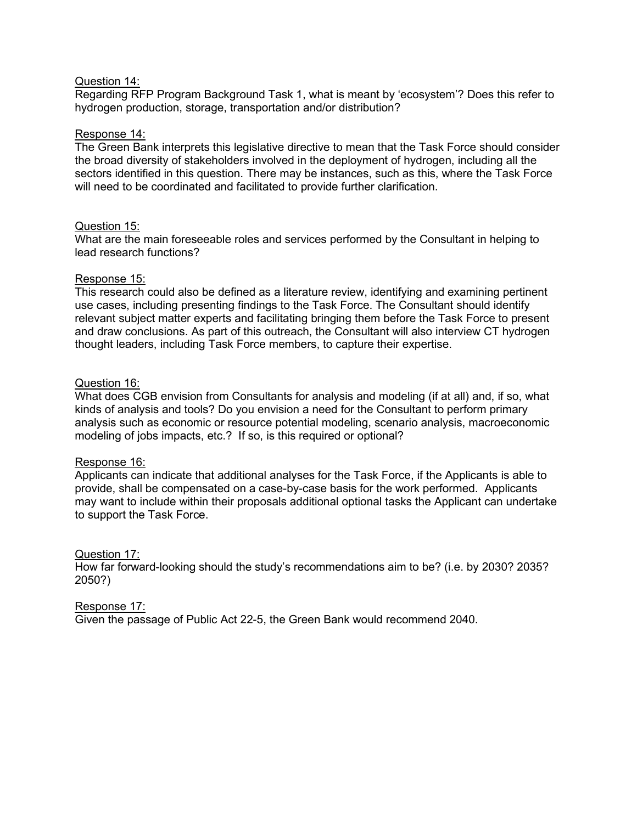# Question 14:

Regarding RFP Program Background Task 1, what is meant by 'ecosystem'? Does this refer to hydrogen production, storage, transportation and/or distribution?

# Response 14:

The Green Bank interprets this legislative directive to mean that the Task Force should consider the broad diversity of stakeholders involved in the deployment of hydrogen, including all the sectors identified in this question. There may be instances, such as this, where the Task Force will need to be coordinated and facilitated to provide further clarification.

# Question 15:

What are the main foreseeable roles and services performed by the Consultant in helping to lead research functions?

# Response 15:

This research could also be defined as a literature review, identifying and examining pertinent use cases, including presenting findings to the Task Force. The Consultant should identify relevant subject matter experts and facilitating bringing them before the Task Force to present and draw conclusions. As part of this outreach, the Consultant will also interview CT hydrogen thought leaders, including Task Force members, to capture their expertise.

# Question 16:

What does CGB envision from Consultants for analysis and modeling (if at all) and, if so, what kinds of analysis and tools? Do you envision a need for the Consultant to perform primary analysis such as economic or resource potential modeling, scenario analysis, macroeconomic modeling of jobs impacts, etc.? If so, is this required or optional?

## Response 16:

Applicants can indicate that additional analyses for the Task Force, if the Applicants is able to provide, shall be compensated on a case-by-case basis for the work performed. Applicants may want to include within their proposals additional optional tasks the Applicant can undertake to support the Task Force.

## Question 17:

How far forward-looking should the study's recommendations aim to be? (i.e. by 2030? 2035? 2050?)

## Response 17:

Given the passage of Public Act 22-5, the Green Bank would recommend 2040.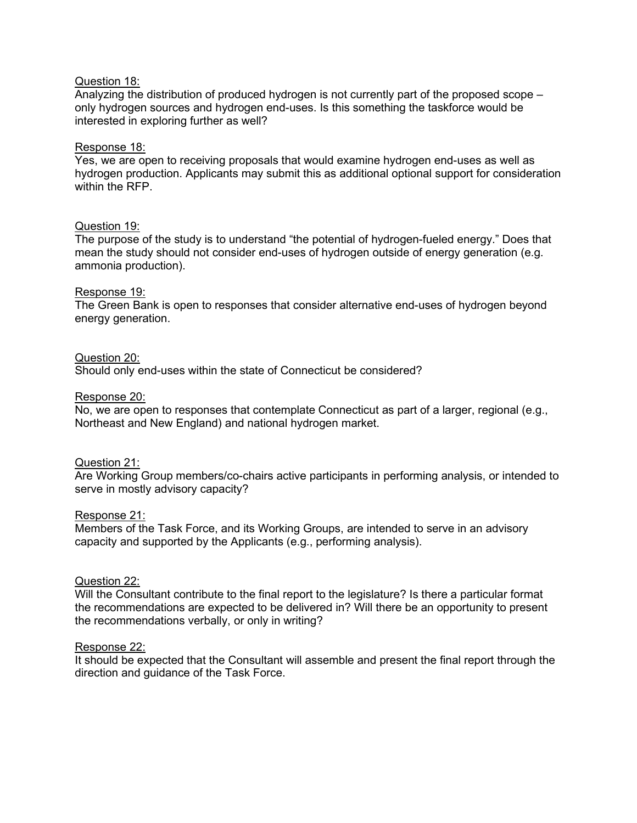# Question 18:

Analyzing the distribution of produced hydrogen is not currently part of the proposed scope – only hydrogen sources and hydrogen end-uses. Is this something the taskforce would be interested in exploring further as well?

# Response 18:

Yes, we are open to receiving proposals that would examine hydrogen end-uses as well as hydrogen production. Applicants may submit this as additional optional support for consideration within the RFP.

# Question 19:

The purpose of the study is to understand "the potential of hydrogen-fueled energy." Does that mean the study should not consider end-uses of hydrogen outside of energy generation (e.g. ammonia production).

# Response 19:

The Green Bank is open to responses that consider alternative end-uses of hydrogen beyond energy generation.

## Question 20:

Should only end-uses within the state of Connecticut be considered?

## Response 20:

No, we are open to responses that contemplate Connecticut as part of a larger, regional (e.g., Northeast and New England) and national hydrogen market.

## Question 21:

Are Working Group members/co-chairs active participants in performing analysis, or intended to serve in mostly advisory capacity?

## Response 21:

Members of the Task Force, and its Working Groups, are intended to serve in an advisory capacity and supported by the Applicants (e.g., performing analysis).

## Question 22:

Will the Consultant contribute to the final report to the legislature? Is there a particular format the recommendations are expected to be delivered in? Will there be an opportunity to present the recommendations verbally, or only in writing?

## Response 22:

It should be expected that the Consultant will assemble and present the final report through the direction and guidance of the Task Force.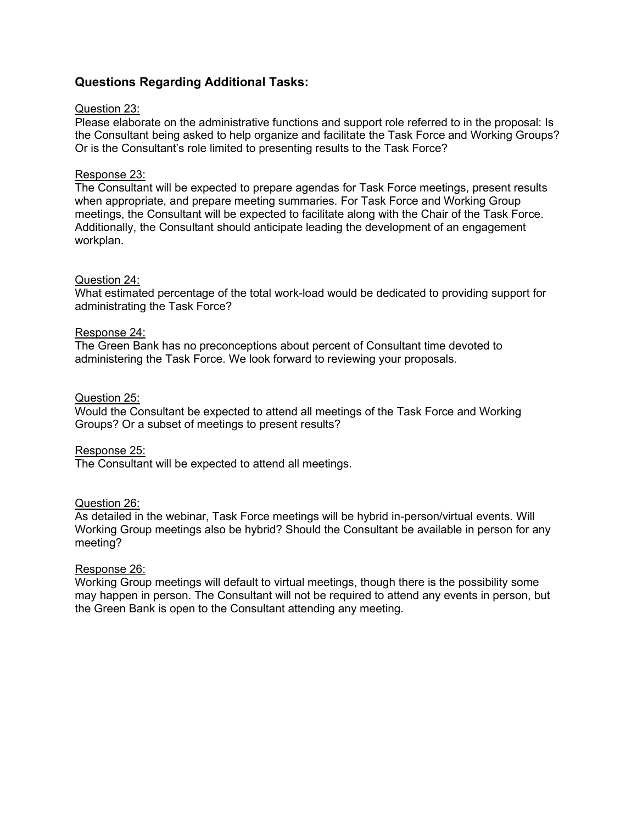# **Questions Regarding Additional Tasks:**

## Question 23:

Please elaborate on the administrative functions and support role referred to in the proposal: Is the Consultant being asked to help organize and facilitate the Task Force and Working Groups? Or is the Consultant's role limited to presenting results to the Task Force?

#### Response 23:

The Consultant will be expected to prepare agendas for Task Force meetings, present results when appropriate, and prepare meeting summaries. For Task Force and Working Group meetings, the Consultant will be expected to facilitate along with the Chair of the Task Force. Additionally, the Consultant should anticipate leading the development of an engagement workplan.

#### Question 24:

What estimated percentage of the total work-load would be dedicated to providing support for administrating the Task Force?

#### Response 24:

The Green Bank has no preconceptions about percent of Consultant time devoted to administering the Task Force. We look forward to reviewing your proposals.

#### Question 25:

Would the Consultant be expected to attend all meetings of the Task Force and Working Groups? Or a subset of meetings to present results?

#### Response 25:

The Consultant will be expected to attend all meetings.

## Question 26:

As detailed in the webinar, Task Force meetings will be hybrid in-person/virtual events. Will Working Group meetings also be hybrid? Should the Consultant be available in person for any meeting?

## Response 26:

Working Group meetings will default to virtual meetings, though there is the possibility some may happen in person. The Consultant will not be required to attend any events in person, but the Green Bank is open to the Consultant attending any meeting.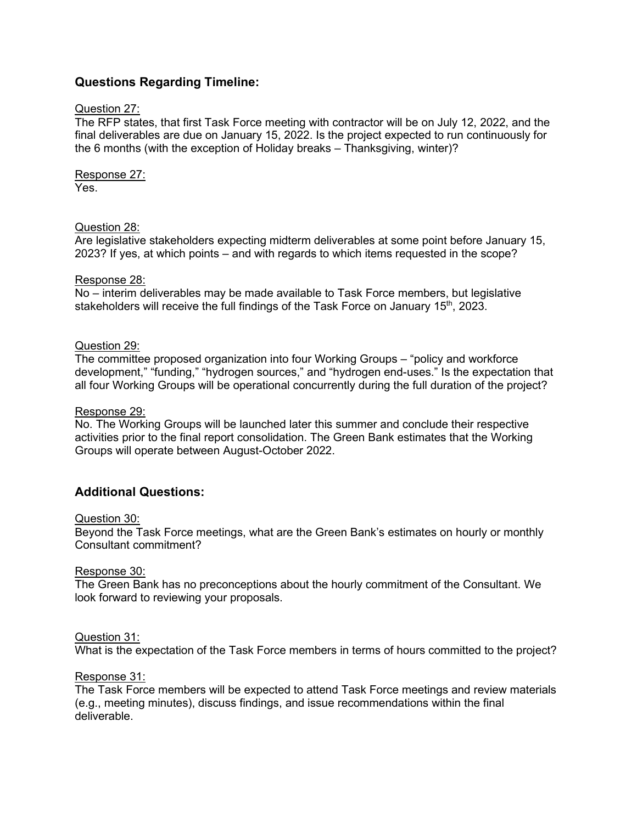# **Questions Regarding Timeline:**

# Question 27:

The RFP states, that first Task Force meeting with contractor will be on July 12, 2022, and the final deliverables are due on January 15, 2022. Is the project expected to run continuously for the 6 months (with the exception of Holiday breaks – Thanksgiving, winter)?

Response 27: Yes.

# Question 28:

Are legislative stakeholders expecting midterm deliverables at some point before January 15, 2023? If yes, at which points – and with regards to which items requested in the scope?

# Response 28:

No – interim deliverables may be made available to Task Force members, but legislative stakeholders will receive the full findings of the Task Force on January 15<sup>th</sup>, 2023.

# Question 29:

The committee proposed organization into four Working Groups – "policy and workforce development," "funding," "hydrogen sources," and "hydrogen end-uses." Is the expectation that all four Working Groups will be operational concurrently during the full duration of the project?

# Response 29:

No. The Working Groups will be launched later this summer and conclude their respective activities prior to the final report consolidation. The Green Bank estimates that the Working Groups will operate between August-October 2022.

# **Additional Questions:**

## Question 30:

Beyond the Task Force meetings, what are the Green Bank's estimates on hourly or monthly Consultant commitment?

## Response 30:

The Green Bank has no preconceptions about the hourly commitment of the Consultant. We look forward to reviewing your proposals.

## Question 31:

What is the expectation of the Task Force members in terms of hours committed to the project?

## Response 31:

The Task Force members will be expected to attend Task Force meetings and review materials (e.g., meeting minutes), discuss findings, and issue recommendations within the final deliverable.